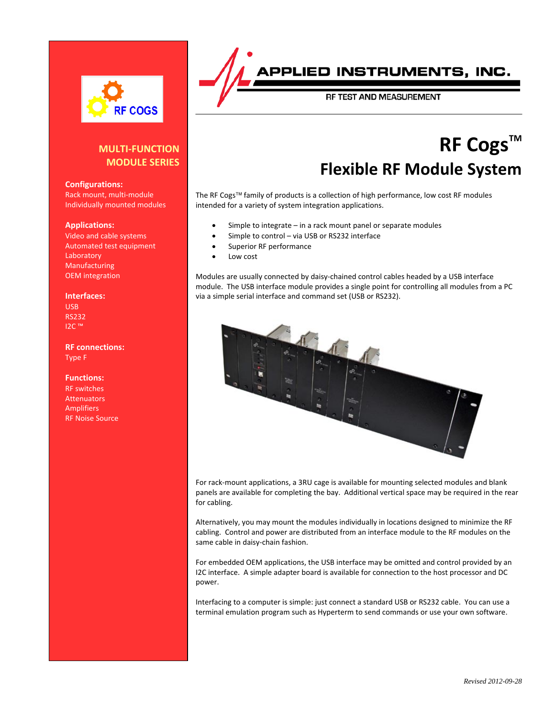

#### **MULTI-FUNCTION MODULE SERIES**

#### **Configurations:**

Rack mount, multi-module Individually mounted modules

#### **Applications:**

Video and cable systems Automated test equipment Laboratory Manufacturing OEM integration

#### **Interfaces:**

USB RS232 I2C ™

#### **RF connections:** Type F

**Functions:** RF switches Attenuators **Amplifiers** RF Noise Source

## **JED INSTRUMENTS, INC.**

RF TEST AND MEASUREMENT

# **RF Cogs™ Flexible RF Module System**

The RF Cogs™ family of products is a collection of high performance, low cost RF modules intended for a variety of system integration applications.

- Simple to integrate in a rack mount panel or separate modules
- Simple to control via USB or RS232 interface
- Superior RF performance
- Low cost

Modules are usually connected by daisy-chained control cables headed by a USB interface module. The USB interface module provides a single point for controlling all modules from a PC via a simple serial interface and command set (USB or RS232).



For rack-mount applications, a 3RU cage is available for mounting selected modules and blank panels are available for completing the bay. Additional vertical space may be required in the rear for cabling.

Alternatively, you may mount the modules individually in locations designed to minimize the RF cabling. Control and power are distributed from an interface module to the RF modules on the same cable in daisy-chain fashion.

For embedded OEM applications, the USB interface may be omitted and control provided by an I2C interface. A simple adapter board is available for connection to the host processor and DC power.

Interfacing to a computer is simple: just connect a standard USB or RS232 cable. You can use a terminal emulation program such as Hyperterm to send commands or use your own software.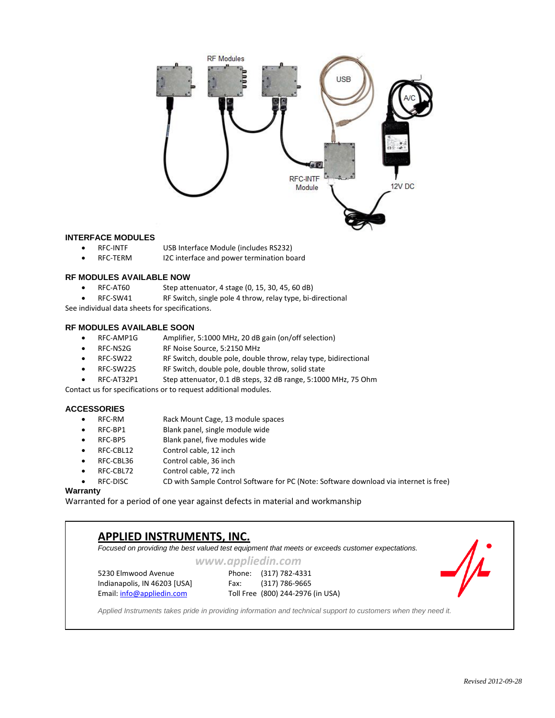

#### **INTERFACE MODULES**

- RFC-INTF USB Interface Module (includes RS232)
- RFC-TERM I2C interface and power termination board

#### **RF MODULES AVAILABLE NOW**

- RFC-AT60 Step attenuator, 4 stage (0, 15, 30, 45, 60 dB)
- RFC-SW41 RF Switch, single pole 4 throw, relay type, bi-directional

See individual data sheets for specifications.

#### **RF MODULES AVAILABLE SOON**

- RFC-AMP1G Amplifier, 5:1000 MHz, 20 dB gain (on/off selection)
- RFC-NS2G RF Noise Source, 5:2150 MHz
- RFC-SW22 RF Switch, double pole, double throw, relay type, bidirectional
- RFC-SW22S RF Switch, double pole, double throw, solid state
- RFC-AT32P1 Step attenuator, 0.1 dB steps, 32 dB range, 5:1000 MHz, 75 Ohm

Contact us for specifications or to request additional modules.

#### **ACCESSORIES**

- RFC-RM Rack Mount Cage, 13 module spaces
- RFC-BP1 Blank panel, single module wide
- RFC-BP5 Blank panel, five modules wide
- RFC-CBL12 Control cable, 12 inch
- RFC-CBL36 Control cable, 36 inch
- RFC-CBL72 Control cable, 72 inch
	- RFC-DISC CD with Sample Control Software for PC (Note: Software download via internet is free)

#### **Warranty**

 $\overline{\phantom{a}}$ 

Warranted for a period of one year against defects in material and workmanship

### **APPLIED INSTRUMENTS, INC.** *Focused on providing the best valued test equipment that meets or exceeds customer expectations. www.appliedin.com* 5230 Elmwood Avenue Phone: (317) 782-4331 Indianapolis, IN 46203 [USA] Fax: (317) 786-9665 Email[: info@appliedin.com](mailto:info@appliedin.com) Toll Free (800) 244-2976 (in USA) *Applied Instruments takes pride in providing information and technical support to customers when they need it.*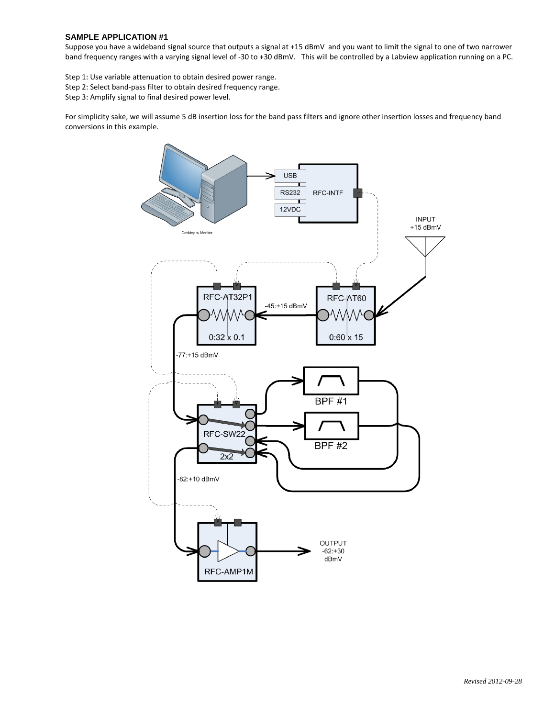#### **SAMPLE APPLICATION #1**

Suppose you have a wideband signal source that outputs a signal at +15 dBmV and you want to limit the signal to one of two narrower band frequency ranges with a varying signal level of -30 to +30 dBmV. This will be controlled by a Labview application running on a PC.

Step 1: Use variable attenuation to obtain desired power range.

Step 2: Select band-pass filter to obtain desired frequency range.

Step 3: Amplify signal to final desired power level.

For simplicity sake, we will assume 5 dB insertion loss for the band pass filters and ignore other insertion losses and frequency band conversions in this example.